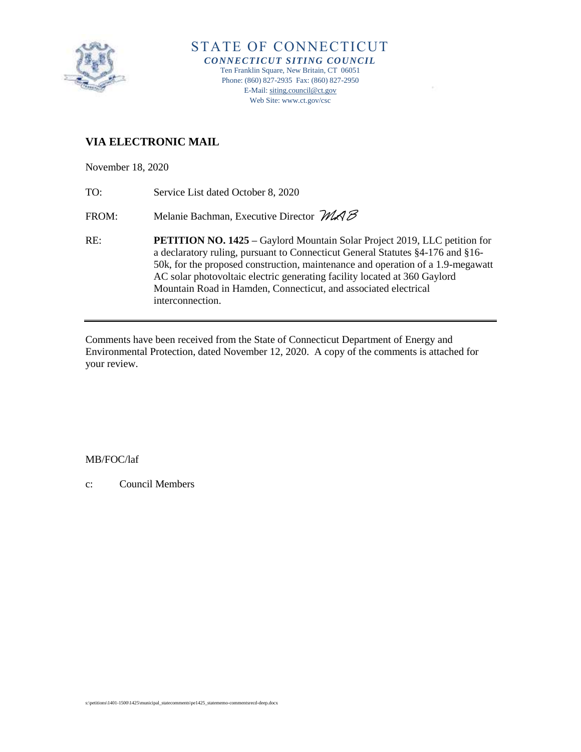

# **VIA ELECTRONIC MAIL**

November 18, 2020

TO: Service List dated October 8, 2020

FROM: Melanie Bachman, Executive Director  $MAB$ 

RE: **PETITION NO. 1425 –** Gaylord Mountain Solar Project 2019, LLC petition for a declaratory ruling, pursuant to Connecticut General Statutes §4-176 and §16- 50k, for the proposed construction, maintenance and operation of a 1.9-megawatt AC solar photovoltaic electric generating facility located at 360 Gaylord Mountain Road in Hamden, Connecticut, and associated electrical interconnection.

Comments have been received from the State of Connecticut Department of Energy and Environmental Protection, dated November 12, 2020. A copy of the comments is attached for your review.

### MB/FOC/laf

c: Council Members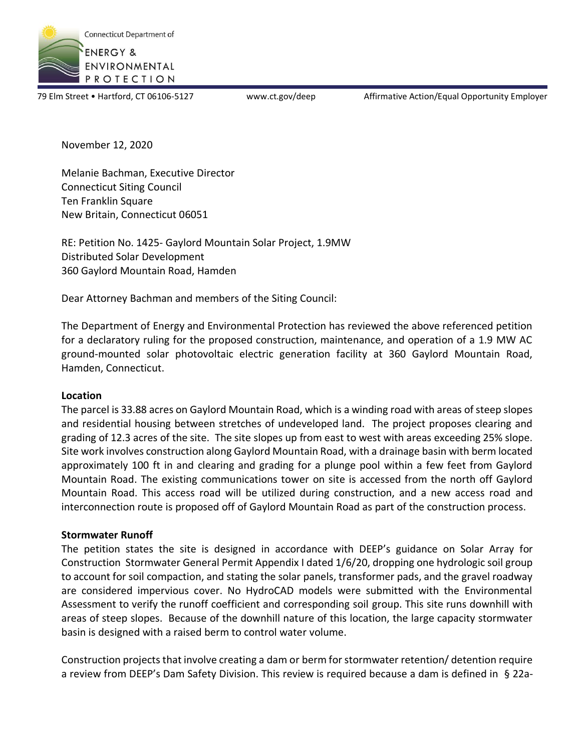

79 Elm Street • Hartford, CT 06106-5127 www.ct.gov/deep Affirmative Action/Equal Opportunity Employer

November 12, 2020

Melanie Bachman, Executive Director Connecticut Siting Council Ten Franklin Square New Britain, Connecticut 06051

RE: Petition No. 1425- Gaylord Mountain Solar Project, 1.9MW Distributed Solar Development 360 Gaylord Mountain Road, Hamden

Dear Attorney Bachman and members of the Siting Council:

The Department of Energy and Environmental Protection has reviewed the above referenced petition for a declaratory ruling for the proposed construction, maintenance, and operation of a 1.9 MW AC ground-mounted solar photovoltaic electric generation facility at 360 Gaylord Mountain Road, Hamden, Connecticut.

### **Location**

The parcel is 33.88 acres on Gaylord Mountain Road, which is a winding road with areas of steep slopes and residential housing between stretches of undeveloped land. The project proposes clearing and grading of 12.3 acres of the site. The site slopes up from east to west with areas exceeding 25% slope. Site work involves construction along Gaylord Mountain Road, with a drainage basin with berm located approximately 100 ft in and clearing and grading for a plunge pool within a few feet from Gaylord Mountain Road. The existing communications tower on site is accessed from the north off Gaylord Mountain Road. This access road will be utilized during construction, and a new access road and interconnection route is proposed off of Gaylord Mountain Road as part of the construction process.

### **Stormwater Runoff**

The petition states the site is designed in accordance with DEEP's guidance on Solar Array for Construction Stormwater General Permit Appendix I dated 1/6/20, dropping one hydrologic soil group to account for soil compaction, and stating the solar panels, transformer pads, and the gravel roadway are considered impervious cover. No HydroCAD models were submitted with the Environmental Assessment to verify the runoff coefficient and corresponding soil group. This site runs downhill with areas of steep slopes. Because of the downhill nature of this location, the large capacity stormwater basin is designed with a raised berm to control water volume.

Construction projects that involve creating a dam or berm for stormwater retention/ detention require a review from DEEP's Dam Safety Division. This review is required because a dam is defined in § 22a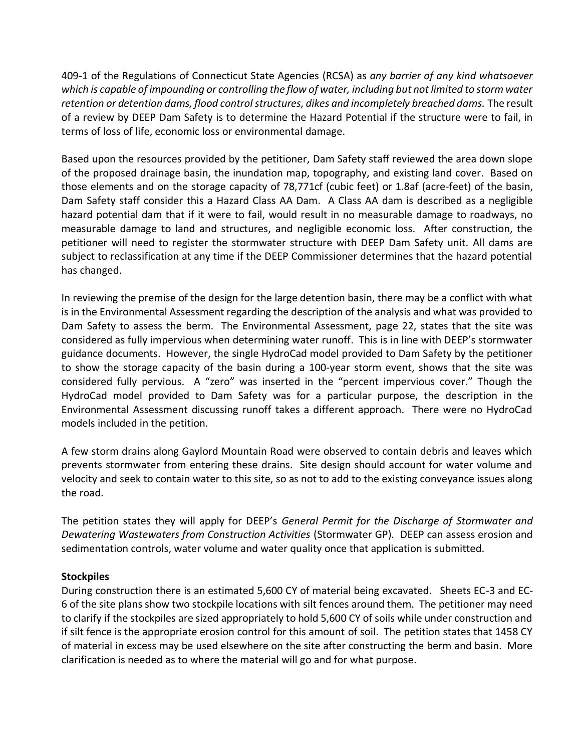409-1 of the Regulations of Connecticut State Agencies (RCSA) as *any barrier of any kind whatsoever which is capable of impounding or controlling the flow of water, including but not limited to storm water retention or detention dams, flood control structures, dikes and incompletely breached dams.* The result of a review by DEEP Dam Safety is to determine the Hazard Potential if the structure were to fail, in terms of loss of life, economic loss or environmental damage.

Based upon the resources provided by the petitioner, Dam Safety staff reviewed the area down slope of the proposed drainage basin, the inundation map, topography, and existing land cover. Based on those elements and on the storage capacity of 78,771cf (cubic feet) or 1.8af (acre-feet) of the basin, Dam Safety staff consider this a Hazard Class AA Dam. A Class AA dam is described as a negligible hazard potential dam that if it were to fail, would result in no measurable damage to roadways, no measurable damage to land and structures, and negligible economic loss. After construction, the petitioner will need to register the stormwater structure with DEEP Dam Safety unit. All dams are subject to reclassification at any time if the DEEP Commissioner determines that the hazard potential has changed.

In reviewing the premise of the design for the large detention basin, there may be a conflict with what is in the Environmental Assessment regarding the description of the analysis and what was provided to Dam Safety to assess the berm. The Environmental Assessment, page 22, states that the site was considered as fully impervious when determining water runoff. This is in line with DEEP's stormwater guidance documents. However, the single HydroCad model provided to Dam Safety by the petitioner to show the storage capacity of the basin during a 100-year storm event, shows that the site was considered fully pervious. A "zero" was inserted in the "percent impervious cover." Though the HydroCad model provided to Dam Safety was for a particular purpose, the description in the Environmental Assessment discussing runoff takes a different approach. There were no HydroCad models included in the petition.

A few storm drains along Gaylord Mountain Road were observed to contain debris and leaves which prevents stormwater from entering these drains. Site design should account for water volume and velocity and seek to contain water to this site, so as not to add to the existing conveyance issues along the road.

The petition states they will apply for DEEP's *General Permit for the Discharge of Stormwater and Dewatering Wastewaters from Construction Activities* (Stormwater GP)*.* DEEP can assess erosion and sedimentation controls, water volume and water quality once that application is submitted.

## **Stockpiles**

During construction there is an estimated 5,600 CY of material being excavated. Sheets EC-3 and EC-6 of the site plans show two stockpile locations with silt fences around them. The petitioner may need to clarify if the stockpiles are sized appropriately to hold 5,600 CY of soils while under construction and if silt fence is the appropriate erosion control for this amount of soil. The petition states that 1458 CY of material in excess may be used elsewhere on the site after constructing the berm and basin. More clarification is needed as to where the material will go and for what purpose.